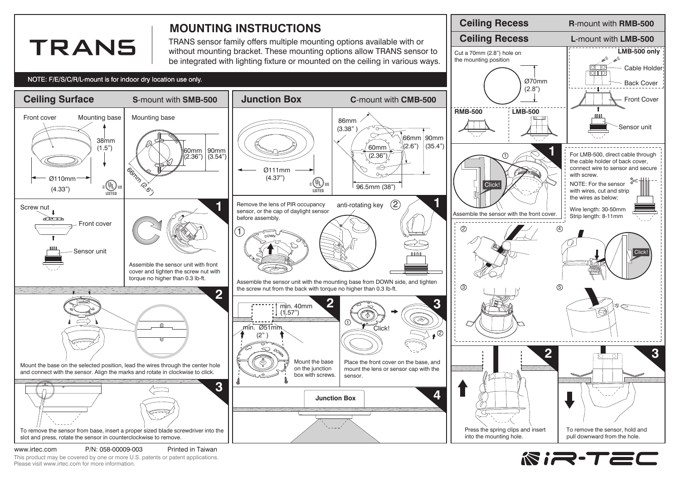

**RIR-TEC** 

www.irtec.com P/N: 058-00009-003 Printed in Taiwan This product may be covered by one or more U.S. patents or patent applications. Please visit www.irtec.com for more information.